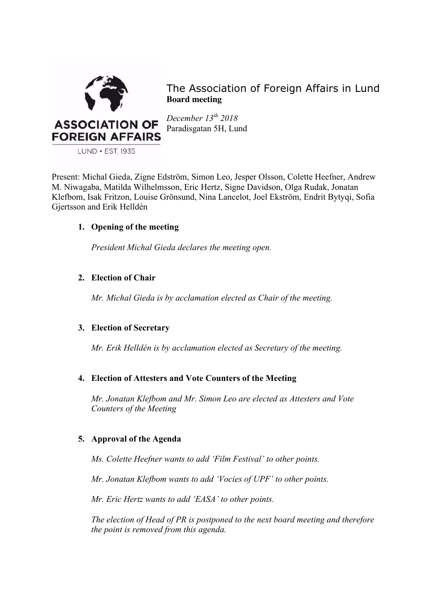

The Association of Foreign Affairs in Lund **Board meeting**

*December 13th 2018* Paradisgatan 5H, Lund

Present: Michal Gieda, Zigne Edström, Simon Leo, Jesper Olsson, Colette Heefner, Andrew M. Niwagaba, Matilda Wilhelmsson, Eric Hertz, Signe Davidson, Olga Rudak, Jonatan Klefbom, Isak Fritzon, Louise Grönsund, Nina Lancelot, Joel Ekström, Endrit Bytyqi, Sofia Gjertsson and Erik Helldén

# **1. Opening of the meeting**

*President Michal Gieda declares the meeting open.*

# **2. Election of Chair**

*Mr. Michal Gieda is by acclamation elected as Chair of the meeting.*

# **3. Election of Secretary**

*Mr. Erik Helldén is by acclamation elected as Secretary of the meeting.*

# **4. Election of Attesters and Vote Counters of the Meeting**

*Mr. Jonatan Klefbom and Mr. Simon Leo are elected as Attesters and Vote Counters of the Meeting*

# **5. Approval of the Agenda**

*Ms. Colette Heefner wants to add 'Film Festival' to other points.*

*Mr. Jonatan Klefbom wants to add 'Vocies of UPF' to other points.*

*Mr. Eric Hertz wants to add 'EASA' to other points.*

*The election of Head of PR is postponed to the next board meeting and therefore the point is removed from this agenda.*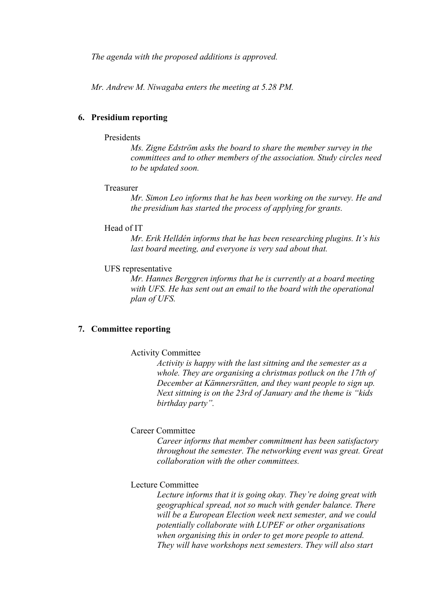*The agenda with the proposed additions is approved.* 

*Mr. Andrew M. Niwagaba enters the meeting at 5.28 PM.*

## **6. Presidium reporting**

#### **Presidents**

*Ms. Zigne Edström asks the board to share the member survey in the committees and to other members of the association. Study circles need to be updated soon.*

## Treasurer

*Mr. Simon Leo informs that he has been working on the survey. He and the presidium has started the process of applying for grants.*

## Head of IT

*Mr. Erik Helldén informs that he has been researching plugins. It's his last board meeting, and everyone is very sad about that.* 

#### UFS representative

*Mr. Hannes Berggren informs that he is currently at a board meeting with UFS. He has sent out an email to the board with the operational plan of UFS.* 

## **7. Committee reporting**

## Activity Committee

*Activity is happy with the last sittning and the semester as a whole. They are organising a christmas potluck on the 17th of December at Kämnersrätten, and they want people to sign up. Next sittning is on the 23rd of January and the theme is "kids birthday party".* 

## Career Committee

*Career informs that member commitment has been satisfactory throughout the semester. The networking event was great. Great collaboration with the other committees.*

## Lecture Committee

*Lecture informs that it is going okay. They're doing great with geographical spread, not so much with gender balance. There will be a European Election week next semester, and we could potentially collaborate with LUPEF or other organisations when organising this in order to get more people to attend. They will have workshops next semesters. They will also start*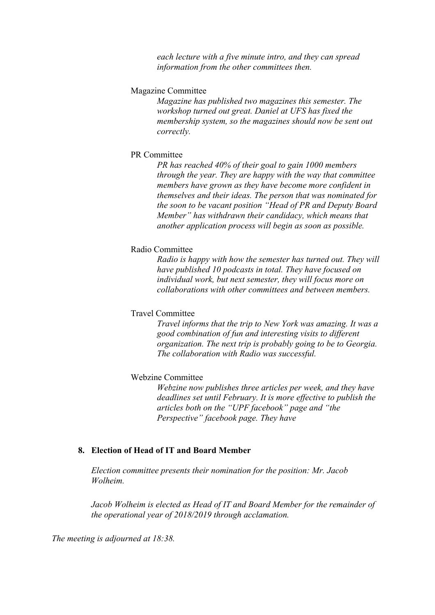*each lecture with a five minute intro, and they can spread information from the other committees then.*

#### Magazine Committee

*Magazine has published two magazines this semester. The workshop turned out great. Daniel at UFS has fixed the membership system, so the magazines should now be sent out correctly.* 

#### PR Committee

*PR has reached 40% of their goal to gain 1000 members through the year. They are happy with the way that committee members have grown as they have become more confident in themselves and their ideas. The person that was nominated for the soon to be vacant position "Head of PR and Deputy Board Member" has withdrawn their candidacy, which means that another application process will begin as soon as possible.* 

## Radio Committee

*Radio is happy with how the semester has turned out. They will have published 10 podcasts in total. They have focused on individual work, but next semester, they will focus more on collaborations with other committees and between members.* 

## Travel Committee

*Travel informs that the trip to New York was amazing. It was a good combination of fun and interesting visits to different organization. The next trip is probably going to be to Georgia. The collaboration with Radio was successful.* 

## Webzine Committee

*Webzine now publishes three articles per week, and they have deadlines set until February. It is more effective to publish the articles both on the "UPF facebook" page and "the Perspective" facebook page. They have* 

#### **8. Election of Head of IT and Board Member**

*Election committee presents their nomination for the position: Mr. Jacob Wolheim.*

*Jacob Wolheim is elected as Head of IT and Board Member for the remainder of the operational year of 2018/2019 through acclamation.* 

*The meeting is adjourned at 18:38.*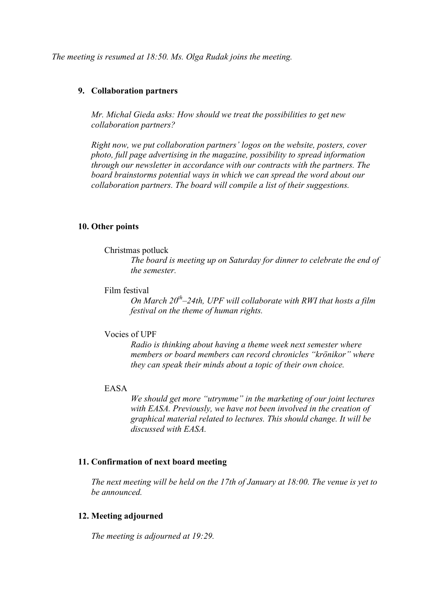*The meeting is resumed at 18:50. Ms. Olga Rudak joins the meeting.* 

## **9. Collaboration partners**

*Mr. Michal Gieda asks: How should we treat the possibilities to get new collaboration partners?*

*Right now, we put collaboration partners' logos on the website, posters, cover photo, full page advertising in the magazine, possibility to spread information through our newsletter in accordance with our contracts with the partners. The board brainstorms potential ways in which we can spread the word about our collaboration partners. The board will compile a list of their suggestions.* 

## **10. Other points**

## Christmas potluck

*The board is meeting up on Saturday for dinner to celebrate the end of the semester.*

## Film festival

*On March 20th–24th, UPF will collaborate with RWI that hosts a film festival on the theme of human rights.* 

## Vocies of UPF

*Radio is thinking about having a theme week next semester where members or board members can record chronicles "krönikor" where they can speak their minds about a topic of their own choice.* 

## EASA

*We should get more "utrymme" in the marketing of our joint lectures with EASA. Previously, we have not been involved in the creation of graphical material related to lectures. This should change. It will be discussed with EASA.*

## **11. Confirmation of next board meeting**

*The next meeting will be held on the 17th of January at 18:00. The venue is yet to be announced.* 

## **12. Meeting adjourned**

*The meeting is adjourned at 19:29.*